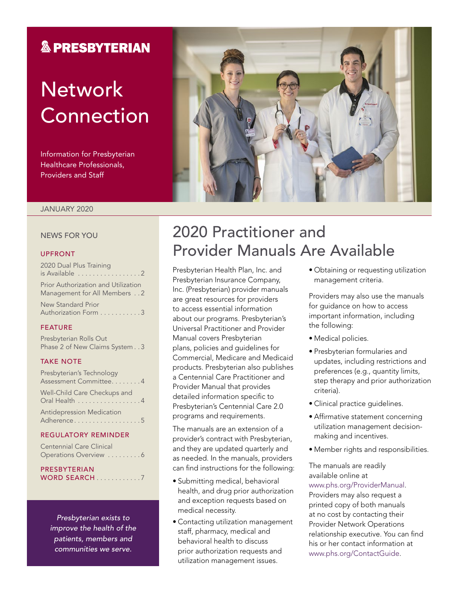### **& PRESBYTERIAN**

# **Network** Connection

Information for Presbyterian Healthcare Professionals, Providers and Staff



#### JANUARY 2020

#### NEWS FOR YOU

#### UPFRONT

| 2020 Dual Plus Training<br>is Available 2                           |
|---------------------------------------------------------------------|
| Prior Authorization and Utilization<br>Management for All Members 2 |
| New Standard Prior<br>Authorization Form 3                          |
| <b>FEATURE</b>                                                      |
| Presbyterian Rolls Out<br>Phase 2 of New Claims System 3            |
|                                                                     |

#### TAKE NOTE

| Presbyterian's Technology<br>Assessment Committee. 4 |
|------------------------------------------------------|
| Well-Child Care Checkups and<br>Oral Health 4        |
| <b>Antidepression Medication</b><br>Adherence5       |

#### REGULATORY REMINDER

| <b>Centennial Care Clinical</b> |
|---------------------------------|
| Operations Overview 6           |
| <b>DOCCOVECOLANI</b>            |

PRESBYTERIAN **WORD SEARCH** . . . . . . . . . . . 7

*Presbyterian exists to improve the health of the patients, members and communities we serve.*

## 2020 Practitioner and Provider Manuals Are Available

Presbyterian Health Plan, Inc. and Presbyterian Insurance Company, Inc. (Presbyterian) provider manuals are great resources for providers to access essential information about our programs. Presbyterian's Universal Practitioner and Provider Manual covers Presbyterian plans, policies and guidelines for Commercial, Medicare and Medicaid products. Presbyterian also publishes a Centennial Care Practitioner and Provider Manual that provides detailed information specific to Presbyterian's Centennial Care 2.0 programs and requirements.

The manuals are an extension of a provider's contract with Presbyterian, and they are updated quarterly and as needed. In the manuals, providers can find instructions for the following:

- Submitting medical, behavioral health, and drug prior authorization and exception requests based on medical necessity.
- Contacting utilization management staff, pharmacy, medical and behavioral health to discuss prior authorization requests and utilization management issues.

• Obtaining or requesting utilization management criteria.

Providers may also use the manuals for guidance on how to access important information, including the following:

- Medical policies.
- Presbyterian formularies and updates, including restrictions and preferences (e.g., quantity limits, step therapy and prior authorization criteria).
- Clinical practice guidelines.
- Affirmative statement concerning utilization management decisionmaking and incentives.
- Member rights and responsibilities.

The manuals are readily available online at

[www.phs.org/ProviderManual.](https://www.phs.org/providers/resources/training-education/Pages/outreach.aspx?vu=providermanual) Providers may also request a printed copy of both manuals at no cost by contacting their Provider Network Operations relationship executive. You can find his or her contact information at [www.phs.org/ContactGuide.](https://www.phs.org/providers/contact-us/Pages/default.aspx?vu=contactguide)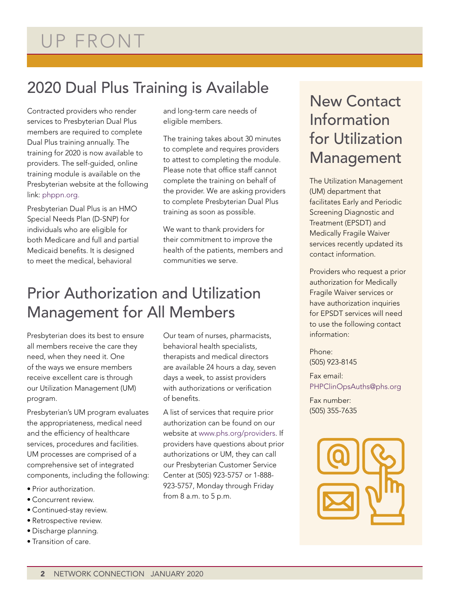## 2020 Dual Plus Training is Available

Contracted providers who render services to Presbyterian Dual Plus members are required to complete Dual Plus training annually. The training for 2020 is now available to providers. The self-guided, online training module is available on the Presbyterian website at the following link: [phppn.org.](https://www.phscampus.com/eLearning/DSNP_2020/index.html)

Presbyterian Dual Plus is an HMO Special Needs Plan (D-SNP) for individuals who are eligible for both Medicare and full and partial Medicaid benefits. It is designed to meet the medical, behavioral

and long-term care needs of eligible members.

The training takes about 30 minutes to complete and requires providers to attest to completing the module. Please note that office staff cannot complete the training on behalf of the provider. We are asking providers to complete Presbyterian Dual Plus training as soon as possible.

We want to thank providers for their commitment to improve the health of the patients, members and communities we serve.

## Prior Authorization and Utilization Management for All Members

Presbyterian does its best to ensure all members receive the care they need, when they need it. One of the ways we ensure members receive excellent care is through our Utilization Management (UM) program.

Presbyterian's UM program evaluates the appropriateness, medical need and the efficiency of healthcare services, procedures and facilities. UM processes are comprised of a comprehensive set of integrated components, including the following:

- Prior authorization.
- Concurrent review.
- Continued-stay review.
- Retrospective review.
- Discharge planning.
- Transition of care.

Our team of nurses, pharmacists, behavioral health specialists, therapists and medical directors are available 24 hours a day, seven days a week, to assist providers with authorizations or verification of benefits.

A list of services that require prior authorization can be found on our website at [www.phs.org/providers](https://www.phs.org/providers/Pages/default.aspx). If providers have questions about prior authorizations or UM, they can call our Presbyterian Customer Service Center at (505) 923-5757 or 1-888- 923-5757, Monday through Friday from 8 a.m. to 5 p.m.

### New Contact Information for Utilization Management

The Utilization Management (UM) department that facilitates Early and Periodic Screening Diagnostic and Treatment (EPSDT) and Medically Fragile Waiver services recently updated its contact information.

Providers who request a prior authorization for Medically Fragile Waiver services or have authorization inquiries for EPSDT services will need to use the following contact information:

Phone: (505) 923-8145

Fax email: [PHPClinOpsAuths@phs.org](mailto:PHPClinOpsAuths@phs.org)

Fax number: (505) 355-7635

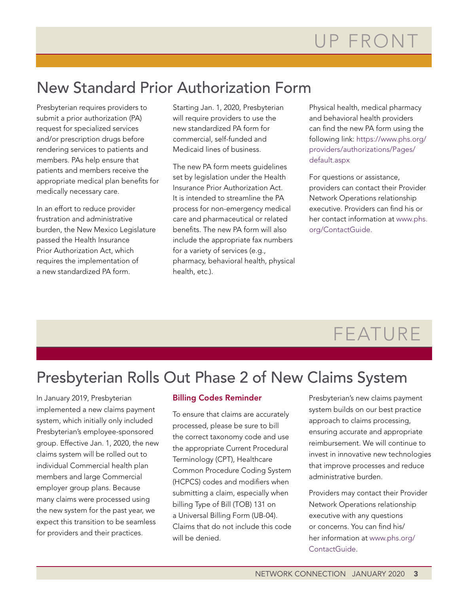### New Standard Prior Authorization Form

Presbyterian requires providers to submit a prior authorization (PA) request for specialized services and/or prescription drugs before rendering services to patients and members. PAs help ensure that patients and members receive the appropriate medical plan benefits for medically necessary care.

In an effort to reduce provider frustration and administrative burden, the New Mexico Legislature passed the Health Insurance Prior Authorization Act, which requires the implementation of a new standardized PA form.

Starting Jan. 1, 2020, Presbyterian will require providers to use the new standardized PA form for commercial, self-funded and Medicaid lines of business.

The new PA form meets guidelines set by legislation under the Health Insurance Prior Authorization Act. It is intended to streamline the PA process for non-emergency medical care and pharmaceutical or related benefits. The new PA form will also include the appropriate fax numbers for a variety of services (e.g., pharmacy, behavioral health, physical health, etc.).

Physical health, medical pharmacy and behavioral health providers can find the new PA form using the following link: https://www.phs.org/ providers/authorizations/Pages/ default.aspx

For questions or assistance, providers can contact their Provider Network Operations relationship executive. Providers can find his or her contact information at [www.phs.](https://www.phs.org/providers/contact-us/Pages/default.aspx?vu=contactguide) [org/ContactGuide](https://www.phs.org/providers/contact-us/Pages/default.aspx?vu=contactguide).

# FEATURE

## Presbyterian Rolls Out Phase 2 of New Claims System

In January 2019, Presbyterian implemented a new claims payment system, which initially only included Presbyterian's employee-sponsored group. Effective Jan. 1, 2020, the new claims system will be rolled out to individual Commercial health plan members and large Commercial employer group plans. Because many claims were processed using the new system for the past year, we expect this transition to be seamless for providers and their practices.

### Billing Codes Reminder

To ensure that claims are accurately processed, please be sure to bill the correct taxonomy code and use the appropriate Current Procedural Terminology (CPT), Healthcare Common Procedure Coding System (HCPCS) codes and modifiers when submitting a claim, especially when billing Type of Bill (TOB) 131 on a Universal Billing Form (UB-04). Claims that do not include this code will be denied.

Presbyterian's new claims payment system builds on our best practice approach to claims processing, ensuring accurate and appropriate reimbursement. We will continue to invest in innovative new technologies that improve processes and reduce administrative burden.

Providers may contact their Provider Network Operations relationship executive with any questions or concerns. You can find his/ her information at [www.phs.org/](https://www.phs.org/providers/contact-us/Pages/default.aspx?vu=contactguide) [ContactGuide.](https://www.phs.org/providers/contact-us/Pages/default.aspx?vu=contactguide)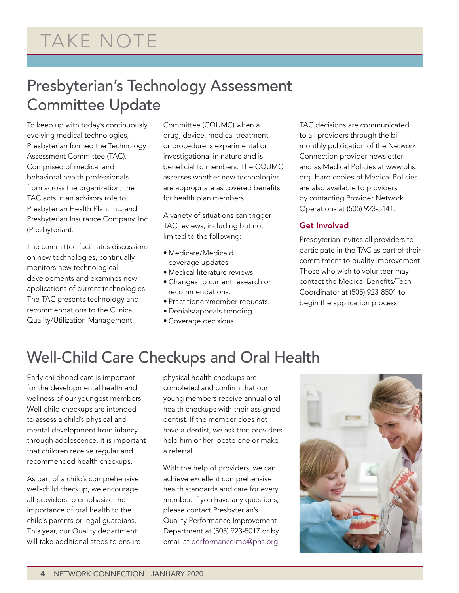### Presbyterian's Technology Assessment Committee Update

To keep up with today's continuously evolving medical technologies, Presbyterian formed the Technology Assessment Committee (TAC). Comprised of medical and behavioral health professionals from across the organization, the TAC acts in an advisory role to Presbyterian Health Plan, Inc. and Presbyterian Insurance Company, Inc. (Presbyterian).

The committee facilitates discussions on new technologies, continually monitors new technological developments and examines new applications of current technologies. The TAC presents technology and recommendations to the Clinical Quality/Utilization Management

Committee (CQUMC) when a drug, device, medical treatment or procedure is experimental or investigational in nature and is beneficial to members. The CQUMC assesses whether new technologies are appropriate as covered benefits for health plan members.

A variety of situations can trigger TAC reviews, including but not limited to the following:

- Medicare/Medicaid coverage updates.
- Medical literature reviews.
- Changes to current research or recommendations.
- Practitioner/member requests.
- Denials/appeals trending.
- Coverage decisions.

TAC decisions are communicated to all providers through the bimonthly publication of the Network Connection provider newsletter and as Medical Policies at [www.phs.](http://www.phs.org) [org.](http://www.phs.org) Hard copies of Medical Policies are also available to providers by contacting Provider Network Operations at (505) 923-5141.

#### Get Involved

Presbyterian invites all providers to participate in the TAC as part of their commitment to quality improvement. Those who wish to volunteer may contact the Medical Benefits/Tech Coordinator at (505) 923-8501 to begin the application process.

## Well-Child Care Checkups and Oral Health

Early childhood care is important for the developmental health and wellness of our youngest members. Well-child checkups are intended to assess a child's physical and mental development from infancy through adolescence. It is important that children receive regular and recommended health checkups.

As part of a child's comprehensive well-child checkup, we encourage all providers to emphasize the importance of oral health to the child's parents or legal guardians. This year, our Quality department will take additional steps to ensure physical health checkups are completed and confirm that our young members receive annual oral health checkups with their assigned dentist. If the member does not have a dentist, we ask that providers help him or her locate one or make a referral.

With the help of providers, we can achieve excellent comprehensive health standards and care for every member. If you have any questions, please contact Presbyterian's Quality Performance Improvement Department at (505) 923-5017 or by email at [performanceImp@phs.org](mailto:performanceImp@phs.org).

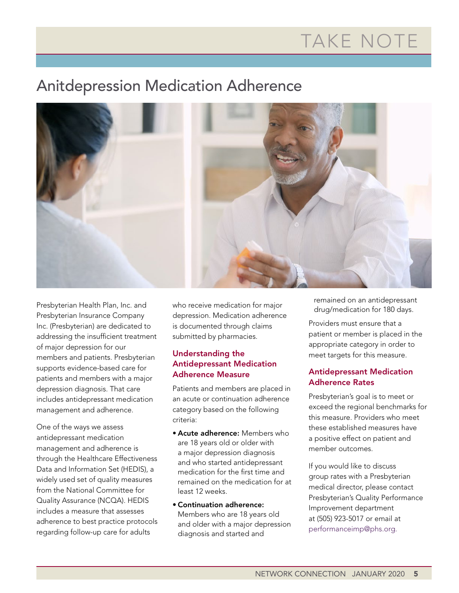# TAKE NOTE

### Anitdepression Medication Adherence



Presbyterian Health Plan, Inc. and Presbyterian Insurance Company Inc. (Presbyterian) are dedicated to addressing the insufficient treatment of major depression for our members and patients. Presbyterian supports evidence-based care for patients and members with a major depression diagnosis. That care includes antidepressant medication management and adherence.

One of the ways we assess antidepressant medication management and adherence is through the Healthcare Effectiveness Data and Information Set (HEDIS), a widely used set of quality measures from the National Committee for Quality Assurance (NCQA). HEDIS includes a measure that assesses adherence to best practice protocols regarding follow-up care for adults

who receive medication for major depression. Medication adherence is documented through claims submitted by pharmacies.

#### Understanding the Antidepressant Medication Adherence Measure

Patients and members are placed in an acute or continuation adherence category based on the following criteria:

- Acute adherence: Members who are 18 years old or older with a major depression diagnosis and who started antidepressant medication for the first time and remained on the medication for at least 12 weeks.
- Continuation adherence: Members who are 18 years old and older with a major depression diagnosis and started and

remained on an antidepressant drug/medication for 180 days.

Providers must ensure that a patient or member is placed in the appropriate category in order to meet targets for this measure.

#### Antidepressant Medication Adherence Rates

Presbyterian's goal is to meet or exceed the regional benchmarks for this measure. Providers who meet these established measures have a positive effect on patient and member outcomes.

If you would like to discuss group rates with a Presbyterian medical director, please contact Presbyterian's Quality Performance Improvement department at (505) 923-5017 or email at [performanceimp@phs.org.](mailto:performanceimp@phs.org)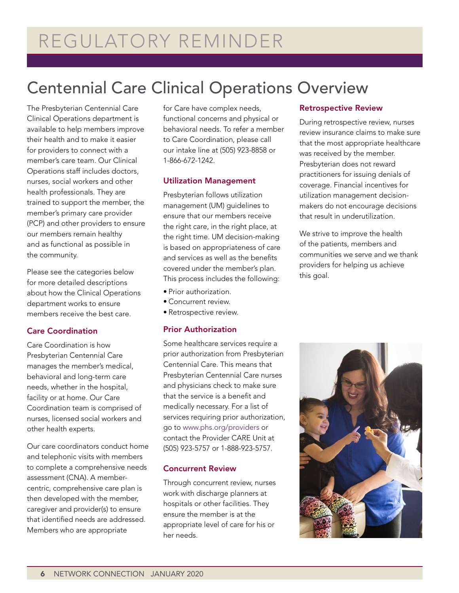## Centennial Care Clinical Operations Overview

The Presbyterian Centennial Care Clinical Operations department is available to help members improve their health and to make it easier for providers to connect with a member's care team. Our Clinical Operations staff includes doctors, nurses, social workers and other health professionals. They are trained to support the member, the member's primary care provider (PCP) and other providers to ensure our members remain healthy and as functional as possible in the community.

Please see the categories below for more detailed descriptions about how the Clinical Operations department works to ensure members receive the best care.

#### Care Coordination

Care Coordination is how Presbyterian Centennial Care manages the member's medical, behavioral and long-term care needs, whether in the hospital, facility or at home. Our Care Coordination team is comprised of nurses, licensed social workers and other health experts.

Our care coordinators conduct home and telephonic visits with members to complete a comprehensive needs assessment (CNA). A membercentric, comprehensive care plan is then developed with the member, caregiver and provider(s) to ensure that identified needs are addressed. Members who are appropriate

for Care have complex needs, functional concerns and physical or behavioral needs. To refer a member to Care Coordination, please call our intake line at (505) 923-8858 or 1-866-672-1242.

### Utilization Management

Presbyterian follows utilization management (UM) guidelines to ensure that our members receive the right care, in the right place, at the right time. UM decision-making is based on appropriateness of care and services as well as the benefits covered under the member's plan. This process includes the following:

- Prior authorization.
- Concurrent review.
- Retrospective review.

### Prior Authorization

Some healthcare services require a prior authorization from Presbyterian Centennial Care. This means that Presbyterian Centennial Care nurses and physicians check to make sure that the service is a benefit and medically necessary. For a list of services requiring prior authorization, go to [www.phs.org/providers](https://www.phs.org/providers/Pages/default.aspx) or contact the Provider CARE Unit at (505) 923-5757 or 1-888-923-5757.

### Concurrent Review

Through concurrent review, nurses work with discharge planners at hospitals or other facilities. They ensure the member is at the appropriate level of care for his or her needs.

### Retrospective Review

During retrospective review, nurses review insurance claims to make sure that the most appropriate healthcare was received by the member. Presbyterian does not reward practitioners for issuing denials of coverage. Financial incentives for utilization management decisionmakers do not encourage decisions that result in underutilization.

We strive to improve the health of the patients, members and communities we serve and we thank providers for helping us achieve this goal.

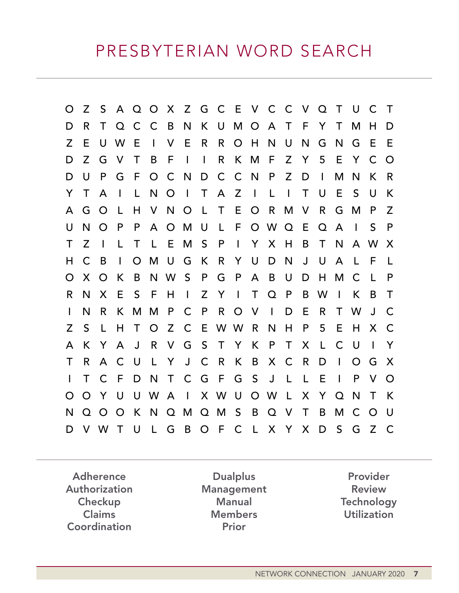O Z S A Q O X Z G C E V C C V Q T U C T D R T Q C C B N K U M O A T F Y T M H D Z E U W E I V E R R O H N U N G N G E E D Z G V T B F I I R K M F Z Y 5 E Y C O D U P G F O C N D C C N P Z D I M N K R Y T A I L N O I T A Z I L I T U E S U K A G O L H V N O L T E O R M V R G M P Z U N O P P A O M U L F O W Q E Q A I S P T Z I L T L E M S P I Y X H B T N A W X H C B I O M U G K R Y U D N J U A L F L O X O K B N W S P G P A B U D H M C L P R N X E S F H I Z Y I T Q P B W I K B T I N R K M M P C P R O V I D E R T W J C Z S L H T O Z C E W W R N H P 5 E H X C A K Y A J R V G S T Y K P T X L C U I Y T R A C U L Y J C R K B X C R D I O G X I T C F D N T C G F G S J L L E I P V O O O Y U U W A I X W U O W L X Y Q N T K N Q O O K N Q M Q M S B Q V T B M C O U D V W T U L G B O F C L X Y X D S G Z C

Adherence Authorization **Checkup** Claims Coordination

**Dualplus** Management Manual Members Prior

Provider Review Technology Utilization